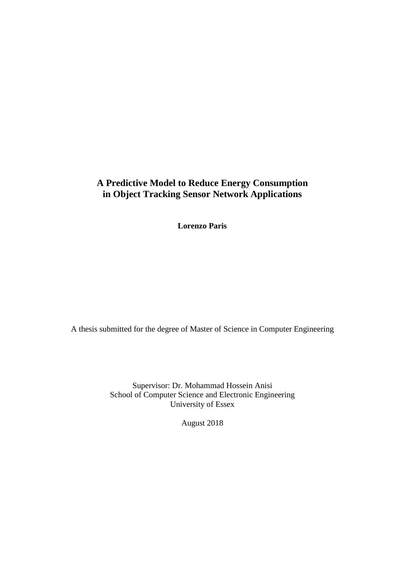## **A Predictive Model to Reduce Energy Consumption in Object Tracking Sensor Network Applications**

**Lorenzo Paris**

A thesis submitted for the degree of Master of Science in Computer Engineering

Supervisor: Dr. Mohammad Hossein Anisi School of Computer Science and Electronic Engineering University of Essex

August 2018